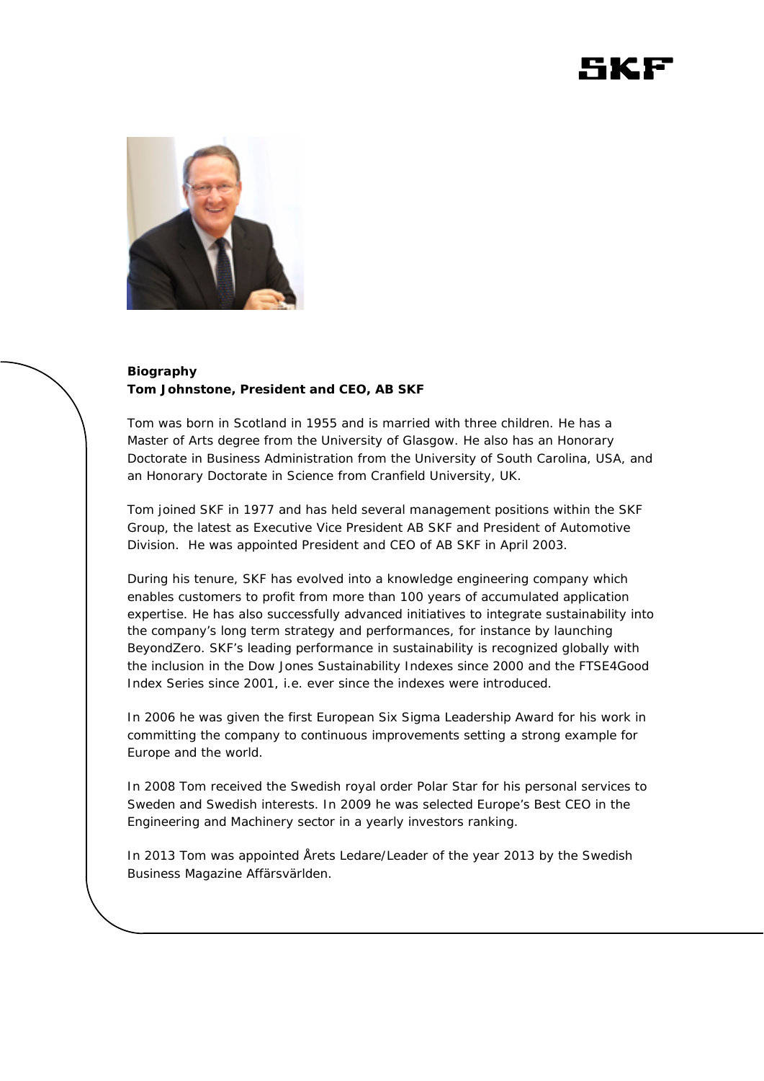



## **Biography Tom Johnstone, President and CEO, AB SKF**

Tom was born in Scotland in 1955 and is married with three children. He has a Master of Arts degree from the University of Glasgow. He also has an Honorary Doctorate in Business Administration from the University of South Carolina, USA, and an Honorary Doctorate in Science from Cranfield University, UK.

Tom joined SKF in 1977 and has held several management positions within the SKF Group, the latest as Executive Vice President AB SKF and President of Automotive Division. He was appointed President and CEO of AB SKF in April 2003.

During his tenure, SKF has evolved into a knowledge engineering company which enables customers to profit from more than 100 years of accumulated application expertise. He has also successfully advanced initiatives to integrate sustainability into the company's long term strategy and performances, for instance by launching BeyondZero. SKF's leading performance in sustainability is recognized globally with the inclusion in the Dow Jones Sustainability Indexes since 2000 and the FTSE4Good Index Series since 2001, i.e. ever since the indexes were introduced.

In 2006 he was given the first European Six Sigma Leadership Award for his work in committing the company to continuous improvements setting a strong example for Europe and the world.

In 2008 Tom received the Swedish royal order Polar Star for his personal services to Sweden and Swedish interests. In 2009 he was selected Europe's Best CEO in the Engineering and Machinery sector in a yearly investors ranking.

In 2013 Tom was appointed Årets Ledare/Leader of the year 2013 by the Swedish Business Magazine Affärsvärlden.